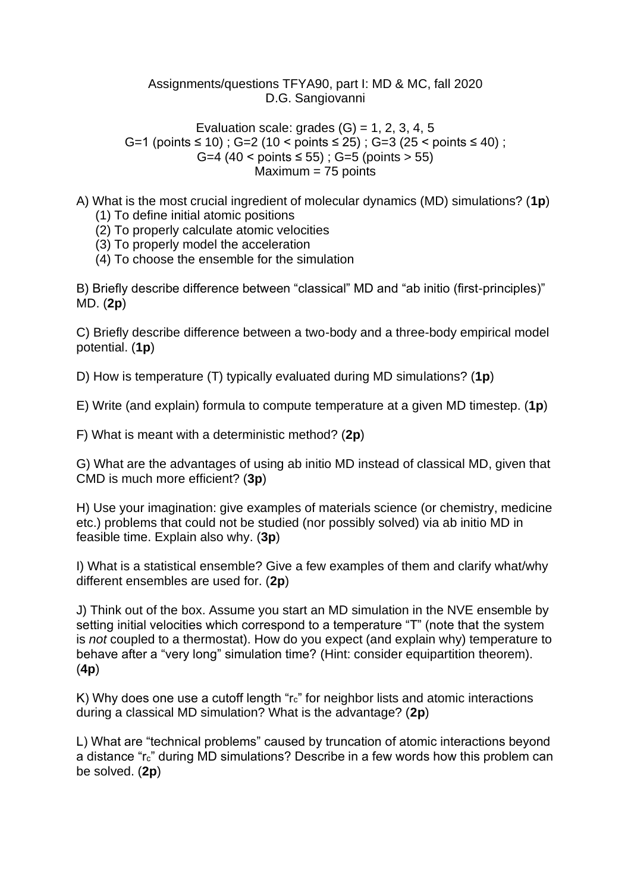## Assignments/questions TFYA90, part I: MD & MC, fall 2020 D.G. Sangiovanni

Evaluation scale: grades  $(G) = 1, 2, 3, 4, 5$ G=1 (points ≤ 10) ; G=2 (10 < points ≤ 25) ; G=3 (25 < points ≤ 40) ; G=4  $(40 \le \text{points} \le 55)$  ; G=5 (points  $> 55$ ) Maximum = 75 points

- A) What is the most crucial ingredient of molecular dynamics (MD) simulations? (**1p**)
	- (1) To define initial atomic positions
	- (2) To properly calculate atomic velocities
	- (3) To properly model the acceleration
	- (4) To choose the ensemble for the simulation

B) Briefly describe difference between "classical" MD and "ab initio (first-principles)" MD. (**2p**)

C) Briefly describe difference between a two-body and a three-body empirical model potential. (**1p**)

D) How is temperature (T) typically evaluated during MD simulations? (**1p**)

E) Write (and explain) formula to compute temperature at a given MD timestep. (**1p**)

F) What is meant with a deterministic method? (**2p**)

G) What are the advantages of using ab initio MD instead of classical MD, given that CMD is much more efficient? (**3p**)

H) Use your imagination: give examples of materials science (or chemistry, medicine etc.) problems that could not be studied (nor possibly solved) via ab initio MD in feasible time. Explain also why. (**3p**)

I) What is a statistical ensemble? Give a few examples of them and clarify what/why different ensembles are used for. (**2p**)

J) Think out of the box. Assume you start an MD simulation in the NVE ensemble by setting initial velocities which correspond to a temperature "T" (note that the system is *not* coupled to a thermostat). How do you expect (and explain why) temperature to behave after a "very long" simulation time? (Hint: consider equipartition theorem). (**4p**)

K) Why does one use a cutoff length "r<sub>c</sub>" for neighbor lists and atomic interactions during a classical MD simulation? What is the advantage? (**2p**)

L) What are "technical problems" caused by truncation of atomic interactions beyond a distance "rc" during MD simulations? Describe in a few words how this problem can be solved. (**2p**)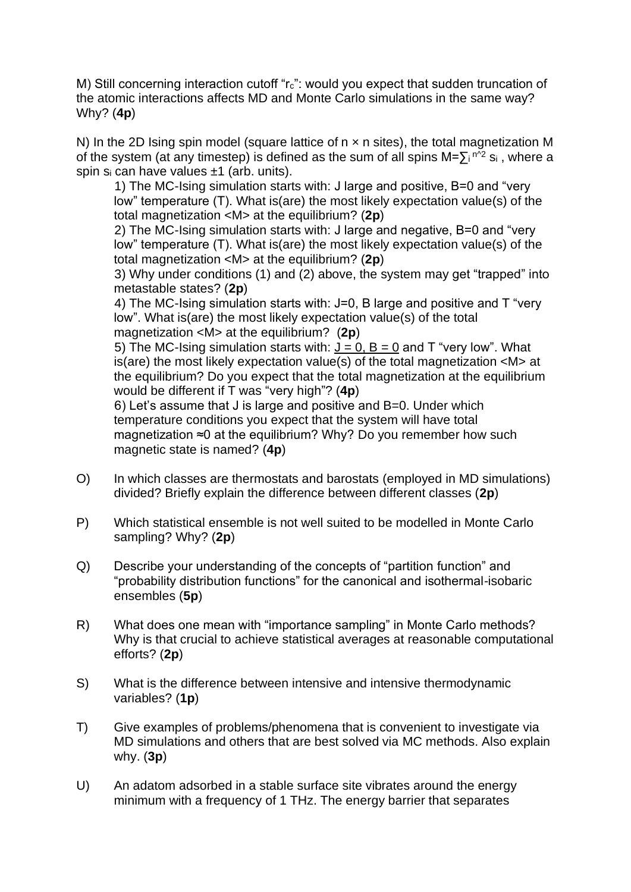M) Still concerning interaction cutoff "rc": would you expect that sudden truncation of the atomic interactions affects MD and Monte Carlo simulations in the same way? Why? (**4p**)

N) In the 2D Ising spin model (square lattice of  $n \times n$  sites), the total magnetization M of the system (at any timestep) is defined as the sum of all spins  $M = \sum_{i} n^{\lambda/2} s_i$ , where a spin s<sup>i</sup> can have values ±1 (arb. units).

1) The MC-Ising simulation starts with: J large and positive, B=0 and "very low" temperature (T). What is(are) the most likely expectation value(s) of the total magnetization <M> at the equilibrium? (**2p**)

2) The MC-Ising simulation starts with: J large and negative, B=0 and "very low" temperature (T). What is(are) the most likely expectation value(s) of the total magnetization <M> at the equilibrium? (**2p**)

3) Why under conditions (1) and (2) above, the system may get "trapped" into metastable states? (**2p**)

4) The MC-Ising simulation starts with: J=0, B large and positive and T "very low". What is(are) the most likely expectation value(s) of the total magnetization <M> at the equilibrium? (**2p**)

5) The MC-Ising simulation starts with:  $J = 0$ ,  $B = 0$  and T "very low". What is(are) the most likely expectation value(s) of the total magnetization <M> at the equilibrium? Do you expect that the total magnetization at the equilibrium would be different if T was "very high"? (**4p**)

6) Let's assume that J is large and positive and B=0. Under which temperature conditions you expect that the system will have total magnetization ≈0 at the equilibrium? Why? Do you remember how such magnetic state is named? (**4p**)

- O) In which classes are thermostats and barostats (employed in MD simulations) divided? Briefly explain the difference between different classes (**2p**)
- P) Which statistical ensemble is not well suited to be modelled in Monte Carlo sampling? Why? (**2p**)
- Q) Describe your understanding of the concepts of "partition function" and "probability distribution functions" for the canonical and isothermal-isobaric ensembles (**5p**)
- R) What does one mean with "importance sampling" in Monte Carlo methods? Why is that crucial to achieve statistical averages at reasonable computational efforts? (**2p**)
- S) What is the difference between intensive and intensive thermodynamic variables? (**1p**)
- T) Give examples of problems/phenomena that is convenient to investigate via MD simulations and others that are best solved via MC methods. Also explain why. (**3p**)
- U) An adatom adsorbed in a stable surface site vibrates around the energy minimum with a frequency of 1 THz. The energy barrier that separates